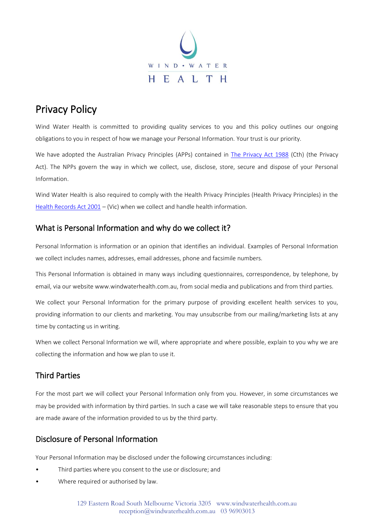

# Privacy Policy

Wind Water Health is committed to providing quality services to you and this policy outlines our ongoing obligations to you in respect of how we manage your Personal Information. Your trust is our priority.

We have adopted the Australian Privacy Principles (APPs) contained in [The Privacy Act 1988](http://www8.austlii.edu.au/cgi-bin/viewdb/au/legis/cth/consol_act/pa1988108/) (Cth) (the Privacy Act). The NPPs govern the way in which we collect, use, disclose, store, secure and dispose of your Personal Information.

Wind Water Health is also required to comply with the Health Privacy Principles (Health Privacy Principles) in the Health Records Act  $2001 -$  (Vic) when we collect and handle health information.

### What is Personal Information and why do we collect it?

Personal Information is information or an opinion that identifies an individual. Examples of Personal Information we collect includes names, addresses, email addresses, phone and facsimile numbers.

This Personal Information is obtained in many ways including questionnaires, correspondence, by telephone, by email, via our website www.windwaterhealth.com.au, from social media and publications and from third parties.

We collect your Personal Information for the primary purpose of providing excellent health services to you, providing information to our clients and marketing. You may unsubscribe from our mailing/marketing lists at any time by contacting us in writing.

When we collect Personal Information we will, where appropriate and where possible, explain to you why we are collecting the information and how we plan to use it.

# Third Parties

For the most part we will collect your Personal Information only from you. However, in some circumstances we may be provided with information by third parties. In such a case we will take reasonable steps to ensure that you are made aware of the information provided to us by the third party.

# Disclosure of Personal Information

Your Personal Information may be disclosed under the following circumstances including:

- Third parties where you consent to the use or disclosure; and
- Where required or authorised by law.